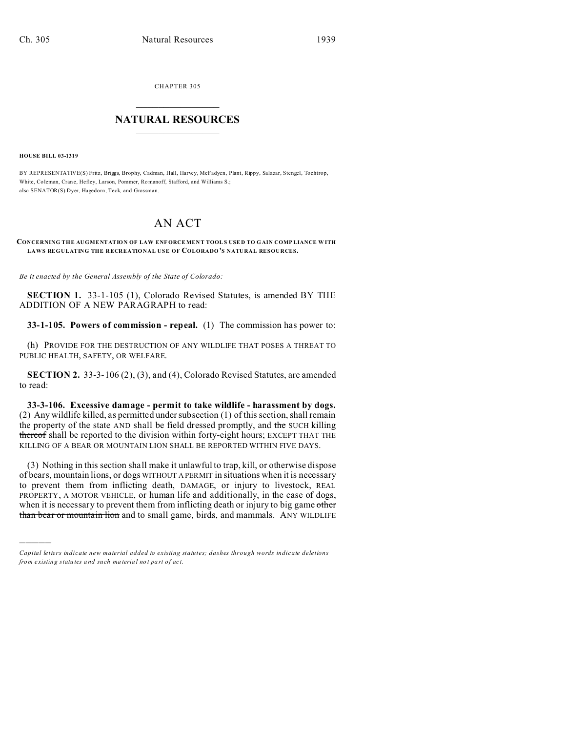CHAPTER 305  $\overline{\phantom{a}}$  , where  $\overline{\phantom{a}}$ 

## **NATURAL RESOURCES**  $\frac{1}{\sqrt{2}}$  ,  $\frac{1}{\sqrt{2}}$  ,  $\frac{1}{\sqrt{2}}$  ,  $\frac{1}{\sqrt{2}}$  ,  $\frac{1}{\sqrt{2}}$  ,  $\frac{1}{\sqrt{2}}$

**HOUSE BILL 03-1319**

)))))

BY REPRESENTATIVE(S) Fritz, Briggs, Brophy, Cadman, Hall, Harvey, McFadyen, Plant, Rippy, Salazar, Stengel, Tochtrop, White, Coleman, Crane, Hefley, Larson, Pommer, Romanoff, Stafford, and Williams S.; also SENATOR(S) Dyer, Hagedorn, Teck, and Grossman.

## AN ACT

**CONCERNING THE AUGMENTATION OF LAW ENF ORCE MEN T TOOLS USE D TO GAIN COMP LIANCE W ITH LAWS REGULATING THE RECREATIONAL USE OF COLORADO'S NATURAL RESOURCES.**

*Be it enacted by the General Assembly of the State of Colorado:*

**SECTION 1.** 33-1-105 (1), Colorado Revised Statutes, is amended BY THE ADDITION OF A NEW PARAGRAPH to read:

**33-1-105. Powers of commission - repeal.** (1) The commission has power to:

(h) PROVIDE FOR THE DESTRUCTION OF ANY WILDLIFE THAT POSES A THREAT TO PUBLIC HEALTH, SAFETY, OR WELFARE.

**SECTION 2.** 33-3-106 (2), (3), and (4), Colorado Revised Statutes, are amended to read:

**33-3-106. Excessive damage - permit to take wildlife - harassment by dogs.** (2) Any wildlife killed, as permitted under subsection (1) of this section, shall remain the property of the state AND shall be field dressed promptly, and the SUCH killing thereof shall be reported to the division within forty-eight hours; EXCEPT THAT THE KILLING OF A BEAR OR MOUNTAIN LION SHALL BE REPORTED WITHIN FIVE DAYS.

(3) Nothing in this section shall make it unlawful to trap, kill, or otherwise dispose of bears, mountain lions, or dogs WITHOUT A PERMIT in situations when it is necessary to prevent them from inflicting death, DAMAGE, or injury to livestock, REAL PROPERTY, A MOTOR VEHICLE, or human life and additionally, in the case of dogs, when it is necessary to prevent them from inflicting death or injury to big game other than bear or mountain lion and to small game, birds, and mammals. ANY WILDLIFE

*Capital letters indicate new material added to existing statutes; dashes through words indicate deletions from e xistin g statu tes a nd such ma teria l no t pa rt of ac t.*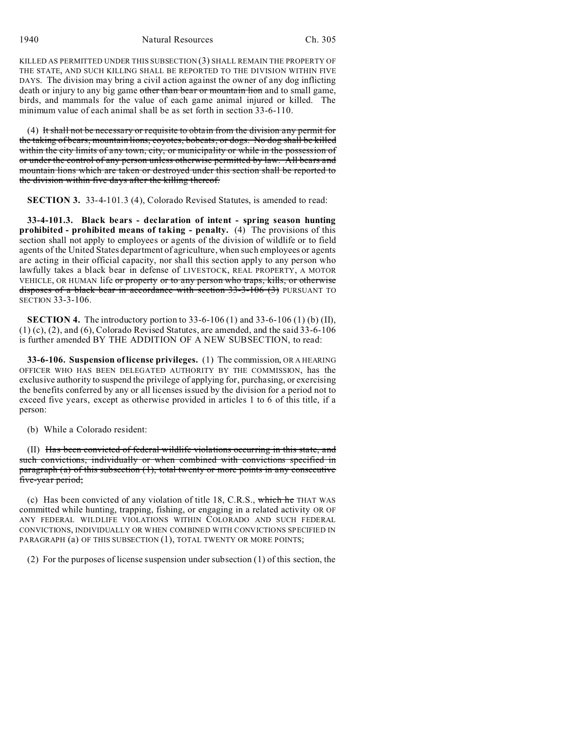1940 Natural Resources Ch. 305

KILLED AS PERMITTED UNDER THIS SUBSECTION (3) SHALL REMAIN THE PROPERTY OF THE STATE, AND SUCH KILLING SHALL BE REPORTED TO THE DIVISION WITHIN FIVE DAYS. The division may bring a civil action against the owner of any dog inflicting death or injury to any big game other than bear or mountain lion and to small game, birds, and mammals for the value of each game animal injured or killed. The minimum value of each animal shall be as set forth in section 33-6-110.

(4) It shall not be necessary or requisite to obtain from the division any permit for the taking of bears, mountain lions, coyotes, bobcats, or dogs. No dog shall be killed within the city limits of any town, city, or municipality or while in the possession of or under the control of any person unless otherwise permitted by law. All bears and mountain lions which are taken or destroyed under this section shall be reported to the division within five days after the killing thereof.

**SECTION 3.** 33-4-101.3 (4), Colorado Revised Statutes, is amended to read:

**33-4-101.3. Black bears - declaration of intent - spring season hunting prohibited - prohibited means of taking - penalty.** (4) The provisions of this section shall not apply to employees or agents of the division of wildlife or to field agents of the United States department of agriculture, when such employees or agents are acting in their official capacity, nor shall this section apply to any person who lawfully takes a black bear in defense of LIVESTOCK, REAL PROPERTY, A MOTOR VEHICLE, OR HUMAN life or property or to any person who traps, kills, or otherwise disposes of a black bear in accordance with section  $33-3-106$  (3)</del> PURSUANT TO SECTION 33-3-106.

**SECTION 4.** The introductory portion to 33-6-106 (1) and 33-6-106 (1) (b) (II),  $(1)$  (c),  $(2)$ , and  $(6)$ , Colorado Revised Statutes, are amended, and the said 33-6-106 is further amended BY THE ADDITION OF A NEW SUBSECTION, to read:

**33-6-106. Suspension of license privileges.** (1) The commission, OR A HEARING OFFICER WHO HAS BEEN DELEGATED AUTHORITY BY THE COMMISSION, has the exclusive authority to suspend the privilege of applying for, purchasing, or exercising the benefits conferred by any or all licenses issued by the division for a period not to exceed five years, except as otherwise provided in articles 1 to 6 of this title, if a person:

(b) While a Colorado resident:

(II) Has been convicted of federal wildlife violations occurring in this state, and such convictions, individually or when combined with convictions specified in paragraph (a) of this subsection (1), total twenty or more points in any consecutive five-year period;

(c) Has been convicted of any violation of title 18, C.R.S., which he THAT WAS committed while hunting, trapping, fishing, or engaging in a related activity OR OF ANY FEDERAL WILDLIFE VIOLATIONS WITHIN COLORADO AND SUCH FEDERAL CONVICTIONS, INDIVIDUALLY OR WHEN COMBINED WITH CONVICTIONS SPECIFIED IN PARAGRAPH (a) OF THIS SUBSECTION (1), TOTAL TWENTY OR MORE POINTS;

(2) For the purposes of license suspension under subsection (1) of this section, the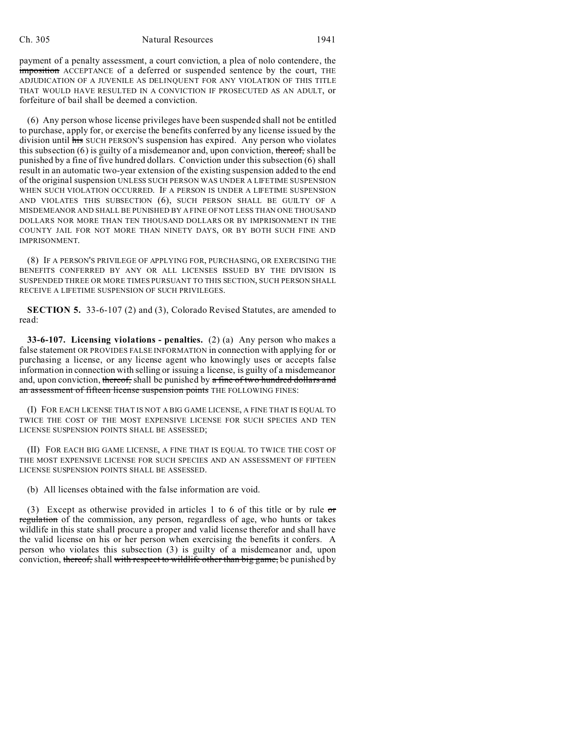payment of a penalty assessment, a court conviction, a plea of nolo contendere, the imposition ACCEPTANCE of a deferred or suspended sentence by the court, THE ADJUDICATION OF A JUVENILE AS DELINQUENT FOR ANY VIOLATION OF THIS TITLE THAT WOULD HAVE RESULTED IN A CONVICTION IF PROSECUTED AS AN ADULT, or forfeiture of bail shall be deemed a conviction.

(6) Any person whose license privileges have been suspended shall not be entitled to purchase, apply for, or exercise the benefits conferred by any license issued by the division until his SUCH PERSON'S suspension has expired. Any person who violates this subsection  $(6)$  is guilty of a misdemeanor and, upon conviction, thereof, shall be punished by a fine of five hundred dollars. Conviction under this subsection (6) shall result in an automatic two-year extension of the existing suspension added to the end of the original suspension UNLESS SUCH PERSON WAS UNDER A LIFETIME SUSPENSION WHEN SUCH VIOLATION OCCURRED. IF A PERSON IS UNDER A LIFETIME SUSPENSION AND VIOLATES THIS SUBSECTION (6), SUCH PERSON SHALL BE GUILTY OF A MISDEMEANOR AND SHALL BE PUNISHED BY A FINE OF NOT LESS THAN ONE THOUSAND DOLLARS NOR MORE THAN TEN THOUSAND DOLLARS OR BY IMPRISONMENT IN THE COUNTY JAIL FOR NOT MORE THAN NINETY DAYS, OR BY BOTH SUCH FINE AND IMPRISONMENT.

(8) IF A PERSON'S PRIVILEGE OF APPLYING FOR, PURCHASING, OR EXERCISING THE BENEFITS CONFERRED BY ANY OR ALL LICENSES ISSUED BY THE DIVISION IS SUSPENDED THREE OR MORE TIMES PURSUANT TO THIS SECTION, SUCH PERSON SHALL RECEIVE A LIFETIME SUSPENSION OF SUCH PRIVILEGES.

**SECTION 5.** 33-6-107 (2) and (3), Colorado Revised Statutes, are amended to read:

**33-6-107. Licensing violations - penalties.** (2) (a) Any person who makes a false statement OR PROVIDES FALSE INFORMATION in connection with applying for or purchasing a license, or any license agent who knowingly uses or accepts false information in connection with selling or issuing a license, is guilty of a misdemeanor and, upon conviction, thereof, shall be punished by a fine of two hundred dollars and an assessment of fifteen license suspension points THE FOLLOWING FINES:

(I) FOR EACH LICENSE THAT IS NOT A BIG GAME LICENSE, A FINE THAT IS EQUAL TO TWICE THE COST OF THE MOST EXPENSIVE LICENSE FOR SUCH SPECIES AND TEN LICENSE SUSPENSION POINTS SHALL BE ASSESSED;

(II) FOR EACH BIG GAME LICENSE, A FINE THAT IS EQUAL TO TWICE THE COST OF THE MOST EXPENSIVE LICENSE FOR SUCH SPECIES AND AN ASSESSMENT OF FIFTEEN LICENSE SUSPENSION POINTS SHALL BE ASSESSED.

(b) All licenses obtained with the false information are void.

(3) Except as otherwise provided in articles 1 to 6 of this title or by rule or regulation of the commission, any person, regardless of age, who hunts or takes wildlife in this state shall procure a proper and valid license therefor and shall have the valid license on his or her person when exercising the benefits it confers. A person who violates this subsection (3) is guilty of a misdemeanor and, upon conviction, thereof, shall with respect to wildlife other than big game, be punished by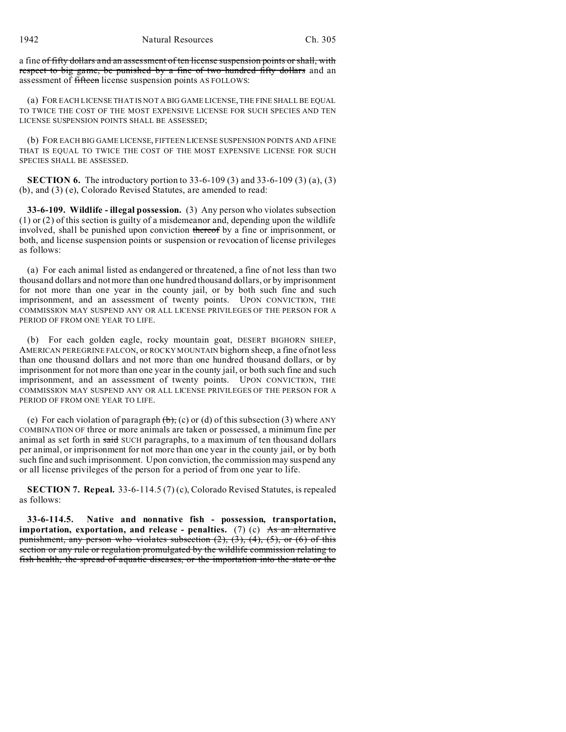a fine of fifty dollars and an assessment of ten license suspension points or shall, with respect to big game, be punished by a fine of two hundred fifty dollars and an assessment of fifteen license suspension points AS FOLLOWS:

(a) FOR EACH LICENSE THAT IS NOT A BIG GAME LICENSE, THE FINE SHALL BE EQUAL TO TWICE THE COST OF THE MOST EXPENSIVE LICENSE FOR SUCH SPECIES AND TEN LICENSE SUSPENSION POINTS SHALL BE ASSESSED;

(b) FOR EACH BIG GAME LICENSE, FIFTEEN LICENSE SUSPENSION POINTS AND A FINE THAT IS EQUAL TO TWICE THE COST OF THE MOST EXPENSIVE LICENSE FOR SUCH SPECIES SHALL BE ASSESSED.

**SECTION 6.** The introductory portion to 33-6-109 (3) and 33-6-109 (3) (a), (3) (b), and (3) (e), Colorado Revised Statutes, are amended to read:

**33-6-109. Wildlife - illegal possession.** (3) Any person who violates subsection (1) or (2) of this section is guilty of a misdemeanor and, depending upon the wildlife involved, shall be punished upon conviction thereof by a fine or imprisonment, or both, and license suspension points or suspension or revocation of license privileges as follows:

(a) For each animal listed as endangered or threatened, a fine of not less than two thousand dollars and not more than one hundred thousand dollars, or by imprisonment for not more than one year in the county jail, or by both such fine and such imprisonment, and an assessment of twenty points. UPON CONVICTION, THE COMMISSION MAY SUSPEND ANY OR ALL LICENSE PRIVILEGES OF THE PERSON FOR A PERIOD OF FROM ONE YEAR TO LIFE.

(b) For each golden eagle, rocky mountain goat, DESERT BIGHORN SHEEP, AMERICAN PEREGRINE FALCON, or ROCKY MOUNTAIN bighorn sheep, a fine of not less than one thousand dollars and not more than one hundred thousand dollars, or by imprisonment for not more than one year in the county jail, or both such fine and such imprisonment, and an assessment of twenty points. UPON CONVICTION, THE COMMISSION MAY SUSPEND ANY OR ALL LICENSE PRIVILEGES OF THE PERSON FOR A PERIOD OF FROM ONE YEAR TO LIFE.

(e) For each violation of paragraph  $(\theta)$ , (c) or (d) of this subsection (3) where ANY COMBINATION OF three or more animals are taken or possessed, a minimum fine per animal as set forth in said SUCH paragraphs, to a maximum of ten thousand dollars per animal, or imprisonment for not more than one year in the county jail, or by both such fine and such imprisonment. Upon conviction, the commission may suspend any or all license privileges of the person for a period of from one year to life.

**SECTION 7. Repeal.** 33-6-114.5 (7) (c), Colorado Revised Statutes, is repealed as follows:

**33-6-114.5. Native and nonnative fish - possession, transportation, importation, exportation, and release - penalties.** (7) (c) As an alternative punishment, any person who violates subsection (2), (3), (4), (5), or (6) of this section or any rule or regulation promulgated by the wildlife commission relating to fish health, the spread of aquatic diseases, or the importation into the state or the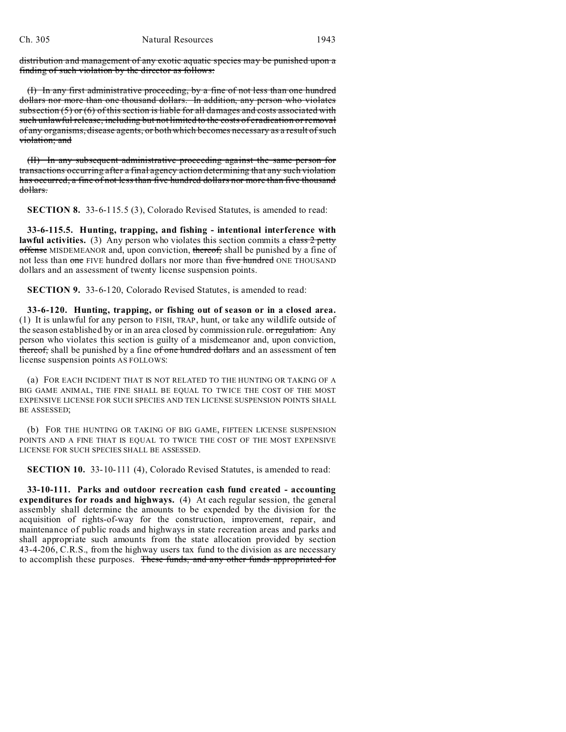distribution and management of any exotic aquatic species may be punished upon a finding of such violation by the director as follows:

(I) In any first administrative proceeding, by a fine of not less than one hundred dollars nor more than one thousand dollars. In addition, any person who violates subsection  $(5)$  or  $(6)$  of this section is liable for all damages and costs associated with such unlawful release, including but not limited to the costs of eradication or removal of any organisms, disease agents, or both which becomes necessary as a result of such violation; and

(II) In any subsequent administrative proceeding against the same person for transactions occurring after a final agency action determining that any such violation has occurred, a fine of not less than five hundred dollars nor more than five thousand dollars.

**SECTION 8.** 33-6-115.5 (3), Colorado Revised Statutes, is amended to read:

**33-6-115.5. Hunting, trapping, and fishing - intentional interference with** lawful activities. (3) Any person who violates this section commits a class 2 petty offense MISDEMEANOR and, upon conviction, thereof, shall be punished by a fine of not less than one FIVE hundred dollars nor more than five hundred ONE THOUSAND dollars and an assessment of twenty license suspension points.

**SECTION 9.** 33-6-120, Colorado Revised Statutes, is amended to read:

**33-6-120. Hunting, trapping, or fishing out of season or in a closed area.** (1) It is unlawful for any person to FISH, TRAP, hunt, or take any wildlife outside of the season established by or in an area closed by commission rule. or regulation. Any person who violates this section is guilty of a misdemeanor and, upon conviction, thereof, shall be punished by a fine of one hundred dollars and an assessment of ten license suspension points AS FOLLOWS:

(a) FOR EACH INCIDENT THAT IS NOT RELATED TO THE HUNTING OR TAKING OF A BIG GAME ANIMAL, THE FINE SHALL BE EQUAL TO TWICE THE COST OF THE MOST EXPENSIVE LICENSE FOR SUCH SPECIES AND TEN LICENSE SUSPENSION POINTS SHALL BE ASSESSED;

(b) FOR THE HUNTING OR TAKING OF BIG GAME, FIFTEEN LICENSE SUSPENSION POINTS AND A FINE THAT IS EQUAL TO TWICE THE COST OF THE MOST EXPENSIVE LICENSE FOR SUCH SPECIES SHALL BE ASSESSED.

**SECTION 10.** 33-10-111 (4), Colorado Revised Statutes, is amended to read:

**33-10-111. Parks and outdoor recreation cash fund created - accounting expenditures for roads and highways.** (4) At each regular session, the general assembly shall determine the amounts to be expended by the division for the acquisition of rights-of-way for the construction, improvement, repair, and maintenance of public roads and highways in state recreation areas and parks and shall appropriate such amounts from the state allocation provided by section 43-4-206, C.R.S., from the highway users tax fund to the division as are necessary to accomplish these purposes. These funds, and any other funds appropriated for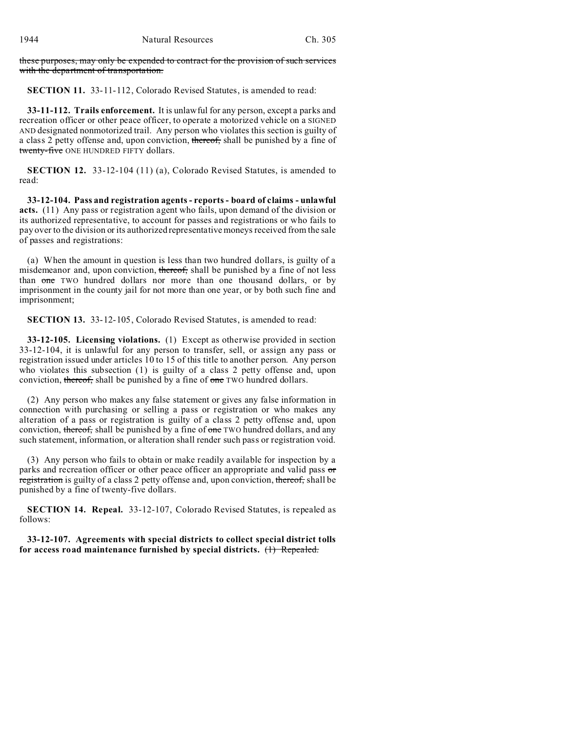these purposes, may only be expended to contract for the provision of such services with the department of transportation.

**SECTION 11.** 33-11-112, Colorado Revised Statutes, is amended to read:

**33-11-112. Trails enforcement.** It is unlawful for any person, except a parks and recreation officer or other peace officer, to operate a motorized vehicle on a SIGNED AND designated nonmotorized trail. Any person who violates this section is guilty of a class 2 petty offense and, upon conviction, thereof, shall be punished by a fine of twenty-five ONE HUNDRED FIFTY dollars.

**SECTION 12.** 33-12-104 (11) (a), Colorado Revised Statutes, is amended to read:

**33-12-104. Pass and registration agents - reports - board of claims - unlawful acts.** (11) Any pass or registration agent who fails, upon demand of the division or its authorized representative, to account for passes and registrations or who fails to pay over to the division or its authorized representative moneys received from the sale of passes and registrations:

(a) When the amount in question is less than two hundred dollars, is guilty of a misdemeanor and, upon conviction, thereof, shall be punished by a fine of not less than one TWO hundred dollars nor more than one thousand dollars, or by imprisonment in the county jail for not more than one year, or by both such fine and imprisonment;

**SECTION 13.** 33-12-105, Colorado Revised Statutes, is amended to read:

**33-12-105. Licensing violations.** (1) Except as otherwise provided in section 33-12-104, it is unlawful for any person to transfer, sell, or assign any pass or registration issued under articles 10 to 15 of this title to another person. Any person who violates this subsection (1) is guilty of a class 2 petty offense and, upon conviction, thereof, shall be punished by a fine of one TWO hundred dollars.

(2) Any person who makes any false statement or gives any false information in connection with purchasing or selling a pass or registration or who makes any alteration of a pass or registration is guilty of a class 2 petty offense and, upon conviction, thereof, shall be punished by a fine of one TWO hundred dollars, and any such statement, information, or alteration shall render such pass or registration void.

(3) Any person who fails to obtain or make readily available for inspection by a parks and recreation officer or other peace officer an appropriate and valid pass or registration is guilty of a class 2 petty offense and, upon conviction, thereof, shall be punished by a fine of twenty-five dollars.

**SECTION 14. Repeal.** 33-12-107, Colorado Revised Statutes, is repealed as follows:

**33-12-107. Agreements with special districts to collect special district tolls for access road maintenance furnished by special districts.** (1) Repealed.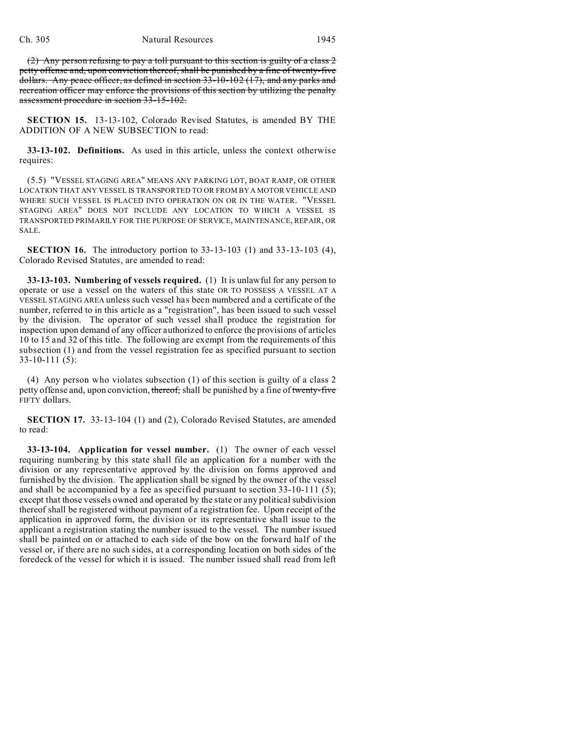(2) Any person refusing to pay a toll pursuant to this section is guilty of a class 2 petty offense and, upon conviction thereof, shall be punished by a fine of twenty-five dollars. Any peace officer, as defined in section 33-10-102 (17), and any parks and recreation officer may enforce the provisions of this section by utilizing the penalty assessment procedure in section 33-15-102.

**SECTION 15.** 13-13-102, Colorado Revised Statutes, is amended BY THE ADDITION OF A NEW SUBSECTION to read:

**33-13-102. Definitions.** As used in this article, unless the context otherwise requires:

(5.5) "VESSEL STAGING AREA" MEANS ANY PARKING LOT, BOAT RAMP, OR OTHER LOCATION THAT ANY VESSEL IS TRANSPORTED TO OR FROM BY A MOTOR VEHICLE AND WHERE SUCH VESSEL IS PLACED INTO OPERATION ON OR IN THE WATER. "VESSEL STAGING AREA" DOES NOT INCLUDE ANY LOCATION TO WHICH A VESSEL IS TRANSPORTED PRIMARILY FOR THE PURPOSE OF SERVICE, MAINTENANCE, REPAIR, OR SALE.

**SECTION 16.** The introductory portion to 33-13-103 (1) and 33-13-103 (4), Colorado Revised Statutes, are amended to read:

**33-13-103. Numbering of vessels required.** (1) It is unlawful for any person to operate or use a vessel on the waters of this state OR TO POSSESS A VESSEL AT A VESSEL STAGING AREA unless such vessel has been numbered and a certificate of the number, referred to in this article as a "registration", has been issued to such vessel by the division. The operator of such vessel shall produce the registration for inspection upon demand of any officer authorized to enforce the provisions of articles 10 to 15 and 32 of this title. The following are exempt from the requirements of this subsection (1) and from the vessel registration fee as specified pursuant to section 33-10-111 (5):

(4) Any person who violates subsection (1) of this section is guilty of a class 2 petty offense and, upon conviction, thereof, shall be punished by a fine of twenty-five FIFTY dollars.

**SECTION 17.** 33-13-104 (1) and (2), Colorado Revised Statutes, are amended to read:

**33-13-104. Application for vessel number.** (1) The owner of each vessel requiring numbering by this state shall file an application for a number with the division or any representative approved by the division on forms approved and furnished by the division. The application shall be signed by the owner of the vessel and shall be accompanied by a fee as specified pursuant to section 33-10-111 (5); except that those vessels owned and operated by the state or any political subdivision thereof shall be registered without payment of a registration fee. Upon receipt of the application in approved form, the division or its representative shall issue to the applicant a registration stating the number issued to the vessel. The number issued shall be painted on or attached to each side of the bow on the forward half of the vessel or, if there are no such sides, at a corresponding location on both sides of the foredeck of the vessel for which it is issued. The number issued shall read from left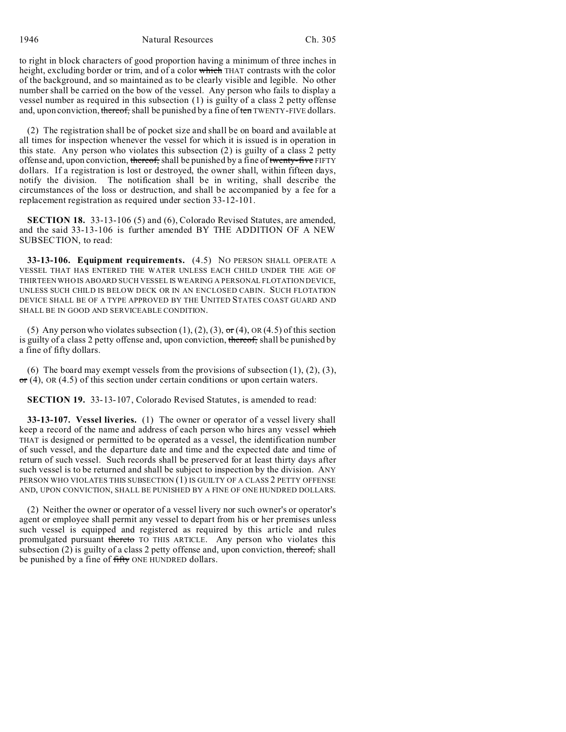to right in block characters of good proportion having a minimum of three inches in height, excluding border or trim, and of a color which THAT contrasts with the color of the background, and so maintained as to be clearly visible and legible. No other number shall be carried on the bow of the vessel. Any person who fails to display a vessel number as required in this subsection (1) is guilty of a class 2 petty offense and, upon conviction, thereof, shall be punished by a fine of ten TWENTY-FIVE dollars.

(2) The registration shall be of pocket size and shall be on board and available at all times for inspection whenever the vessel for which it is issued is in operation in this state. Any person who violates this subsection (2) is guilty of a class 2 petty offense and, upon conviction, thereof, shall be punished by a fine of twenty-five FIFTY dollars. If a registration is lost or destroyed, the owner shall, within fifteen days, notify the division. The notification shall be in writing, shall describe the circumstances of the loss or destruction, and shall be accompanied by a fee for a replacement registration as required under section 33-12-101.

**SECTION 18.** 33-13-106 (5) and (6), Colorado Revised Statutes, are amended, and the said 33-13-106 is further amended BY THE ADDITION OF A NEW SUBSECTION, to read:

**33-13-106. Equipment requirements.** (4.5) NO PERSON SHALL OPERATE A VESSEL THAT HAS ENTERED THE WATER UNLESS EACH CHILD UNDER THE AGE OF THIRTEEN WHO IS ABOARD SUCH VESSEL IS WEARING A PERSONAL FLOTATION DEVICE, UNLESS SUCH CHILD IS BELOW DECK OR IN AN ENCLOSED CABIN. SUCH FLOTATION DEVICE SHALL BE OF A TYPE APPROVED BY THE UNITED STATES COAST GUARD AND SHALL BE IN GOOD AND SERVICEABLE CONDITION.

(5) Any person who violates subsection (1), (2), (3),  $\sigma$ r (4), OR (4.5) of this section is guilty of a class 2 petty offense and, upon conviction, thereof, shall be punished by a fine of fifty dollars.

(6) The board may exempt vessels from the provisions of subsection  $(1)$ ,  $(2)$ ,  $(3)$ ,  $\sigma$  (4), OR (4.5) of this section under certain conditions or upon certain waters.

**SECTION 19.** 33-13-107, Colorado Revised Statutes, is amended to read:

**33-13-107. Vessel liveries.** (1) The owner or operator of a vessel livery shall keep a record of the name and address of each person who hires any vessel which THAT is designed or permitted to be operated as a vessel, the identification number of such vessel, and the departure date and time and the expected date and time of return of such vessel. Such records shall be preserved for at least thirty days after such vessel is to be returned and shall be subject to inspection by the division. ANY PERSON WHO VIOLATES THIS SUBSECTION (1) IS GUILTY OF A CLASS 2 PETTY OFFENSE AND, UPON CONVICTION, SHALL BE PUNISHED BY A FINE OF ONE HUNDRED DOLLARS.

(2) Neither the owner or operator of a vessel livery nor such owner's or operator's agent or employee shall permit any vessel to depart from his or her premises unless such vessel is equipped and registered as required by this article and rules promulgated pursuant thereto TO THIS ARTICLE. Any person who violates this subsection  $(2)$  is guilty of a class 2 petty offense and, upon conviction, thereof, shall be punished by a fine of fifty ONE HUNDRED dollars.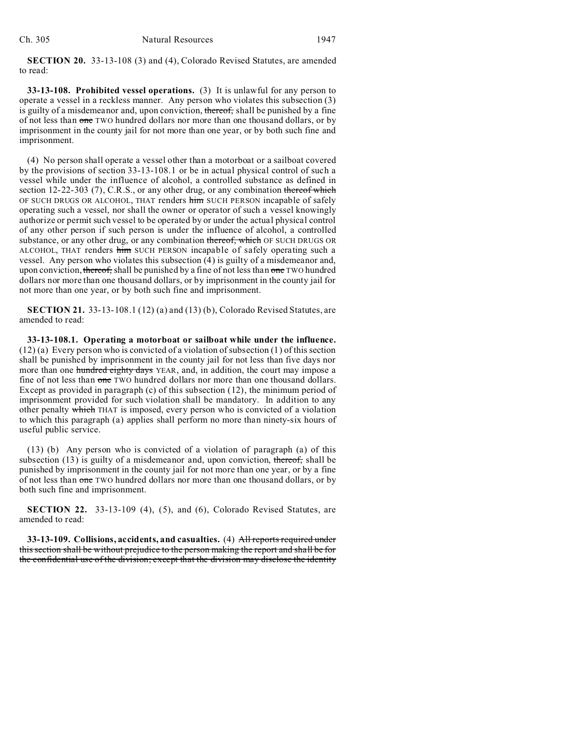**SECTION 20.** 33-13-108 (3) and (4), Colorado Revised Statutes, are amended to read:

**33-13-108. Prohibited vessel operations.** (3) It is unlawful for any person to operate a vessel in a reckless manner. Any person who violates this subsection (3) is guilty of a misdemeanor and, upon conviction, thereof, shall be punished by a fine of not less than one TWO hundred dollars nor more than one thousand dollars, or by imprisonment in the county jail for not more than one year, or by both such fine and imprisonment.

(4) No person shall operate a vessel other than a motorboat or a sailboat covered by the provisions of section 33-13-108.1 or be in actual physical control of such a vessel while under the influence of alcohol, a controlled substance as defined in section 12-22-303 (7), C.R.S., or any other drug, or any combination thereof which OF SUCH DRUGS OR ALCOHOL, THAT renders him SUCH PERSON incapable of safely operating such a vessel, nor shall the owner or operator of such a vessel knowingly authorize or permit such vessel to be operated by or under the actual physical control of any other person if such person is under the influence of alcohol, a controlled substance, or any other drug, or any combination thereof, which OF SUCH DRUGS OR ALCOHOL, THAT renders him SUCH PERSON incapable of safely operating such a vessel. Any person who violates this subsection (4) is guilty of a misdemeanor and, upon conviction, thereof, shall be punished by a fine of not less than one TWO hundred dollars nor more than one thousand dollars, or by imprisonment in the county jail for not more than one year, or by both such fine and imprisonment.

**SECTION 21.** 33-13-108.1 (12) (a) and (13) (b), Colorado Revised Statutes, are amended to read:

**33-13-108.1. Operating a motorboat or sailboat while under the influence.** (12) (a) Every person who is convicted of a violation of subsection (1) of this section shall be punished by imprisonment in the county jail for not less than five days nor more than one hundred eighty days YEAR, and, in addition, the court may impose a fine of not less than one TWO hundred dollars nor more than one thousand dollars. Except as provided in paragraph (c) of this subsection (12), the minimum period of imprisonment provided for such violation shall be mandatory. In addition to any other penalty which THAT is imposed, every person who is convicted of a violation to which this paragraph (a) applies shall perform no more than ninety-six hours of useful public service.

(13) (b) Any person who is convicted of a violation of paragraph (a) of this subsection  $(13)$  is guilty of a misdemeanor and, upon conviction, thereof, shall be punished by imprisonment in the county jail for not more than one year, or by a fine of not less than one TWO hundred dollars nor more than one thousand dollars, or by both such fine and imprisonment.

**SECTION 22.** 33-13-109 (4), (5), and (6), Colorado Revised Statutes, are amended to read:

**33-13-109. Collisions, accidents, and casualties.** (4) All reports required under this section shall be without prejudice to the person making the report and shall be for the confidential use of the division; except that the division may disclose the identity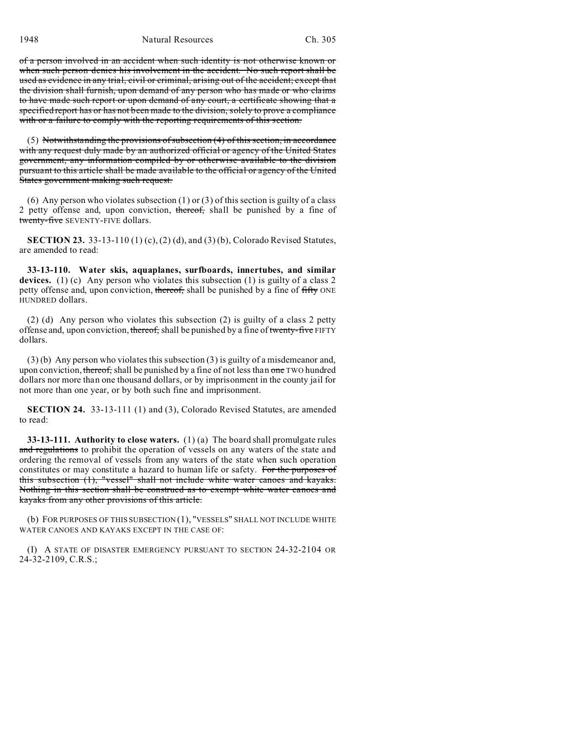1948 Natural Resources Ch. 305

of a person involved in an accident when such identity is not otherwise known or when such person denies his involvement in the accident. No such report shall be used as evidence in any trial, civil or criminal, arising out of the accident; except that the division shall furnish, upon demand of any person who has made or who claims to have made such report or upon demand of any court, a certificate showing that a specified report has or has not been made to the division, solely to prove a compliance with or a failure to comply with the reporting requirements of this section.

(5) Notwithstanding the provisions of subsection (4) of this section, in accordance with any request duly made by an authorized official or agency of the United States government, any information compiled by or otherwise available to the division pursuant to this article shall be made available to the official or agency of the United States government making such request.

(6) Any person who violates subsection  $(1)$  or  $(3)$  of this section is guilty of a class 2 petty offense and, upon conviction, thereof, shall be punished by a fine of twenty-five SEVENTY-FIVE dollars.

**SECTION 23.** 33-13-110 (1) (c), (2) (d), and (3) (b), Colorado Revised Statutes, are amended to read:

**33-13-110. Water skis, aquaplanes, surfboards, innertubes, and similar devices.** (1) (c) Any person who violates this subsection (1) is guilty of a class 2 petty offense and, upon conviction, thereof, shall be punished by a fine of fifty ONE HUNDRED dollars.

(2) (d) Any person who violates this subsection (2) is guilty of a class 2 petty offense and, upon conviction, thereof, shall be punished by a fine of twenty-five FIFTY dollars.

(3) (b) Any person who violates this subsection (3) is guilty of a misdemeanor and, upon conviction, thereof, shall be punished by a fine of not less than one TWO hundred dollars nor more than one thousand dollars, or by imprisonment in the county jail for not more than one year, or by both such fine and imprisonment.

**SECTION 24.** 33-13-111 (1) and (3), Colorado Revised Statutes, are amended to read:

**33-13-111. Authority to close waters.** (1) (a) The board shall promulgate rules and regulations to prohibit the operation of vessels on any waters of the state and ordering the removal of vessels from any waters of the state when such operation constitutes or may constitute a hazard to human life or safety. For the purposes of this subsection (1), "vessel" shall not include white water canoes and kayaks. Nothing in this section shall be construed as to exempt white water canoes and kayaks from any other provisions of this article.

(b) FOR PURPOSES OF THIS SUBSECTION (1), "VESSELS" SHALL NOT INCLUDE WHITE WATER CANOES AND KAYAKS EXCEPT IN THE CASE OF:

(I) A STATE OF DISASTER EMERGENCY PURSUANT TO SECTION 24-32-2104 OR 24-32-2109, C.R.S.;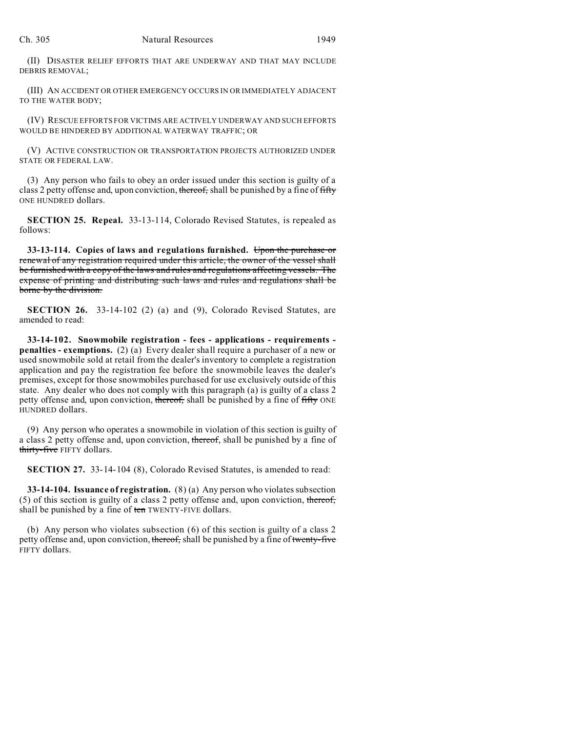(II) DISASTER RELIEF EFFORTS THAT ARE UNDERWAY AND THAT MAY INCLUDE DEBRIS REMOVAL;

(III) AN ACCIDENT OR OTHER EMERGENCY OCCURS IN OR IMMEDIATELY ADJACENT TO THE WATER BODY;

(IV) RESCUE EFFORTS FOR VICTIMS ARE ACTIVELY UNDERWAY AND SUCH EFFORTS WOULD BE HINDERED BY ADDITIONAL WATERWAY TRAFFIC; OR

(V) ACTIVE CONSTRUCTION OR TRANSPORTATION PROJECTS AUTHORIZED UNDER STATE OR FEDERAL LAW.

(3) Any person who fails to obey an order issued under this section is guilty of a class 2 petty offense and, upon conviction, thereof, shall be punished by a fine of fifty ONE HUNDRED dollars.

**SECTION 25. Repeal.** 33-13-114, Colorado Revised Statutes, is repealed as follows:

**33-13-114. Copies of laws and regulations furnished.** Upon the purchase or renewal of any registration required under this article, the owner of the vessel shall be furnished with a copy of the laws and rules and regulations affecting vessels. The expense of printing and distributing such laws and rules and regulations shall be borne by the division.

**SECTION 26.** 33-14-102 (2) (a) and (9), Colorado Revised Statutes, are amended to read:

**33-14-102. Snowmobile registration - fees - applications - requirements penalties - exemptions.** (2) (a) Every dealer shall require a purchaser of a new or used snowmobile sold at retail from the dealer's inventory to complete a registration application and pay the registration fee before the snowmobile leaves the dealer's premises, except for those snowmobiles purchased for use exclusively outside of this state. Any dealer who does not comply with this paragraph (a) is guilty of a class 2 petty offense and, upon conviction, thereof, shall be punished by a fine of fifty ONE HUNDRED dollars.

(9) Any person who operates a snowmobile in violation of this section is guilty of a class 2 petty offense and, upon conviction, thereof, shall be punished by a fine of thirty-five FIFTY dollars.

**SECTION 27.** 33-14-104 (8), Colorado Revised Statutes, is amended to read:

**33-14-104. Issuance of registration.** (8) (a) Any person who violates subsection (5) of this section is guilty of a class 2 petty offense and, upon conviction, thereof, shall be punished by a fine of ten TWENTY-FIVE dollars.

(b) Any person who violates subsection (6) of this section is guilty of a class 2 petty offense and, upon conviction, thereof, shall be punished by a fine of twenty-five FIFTY dollars.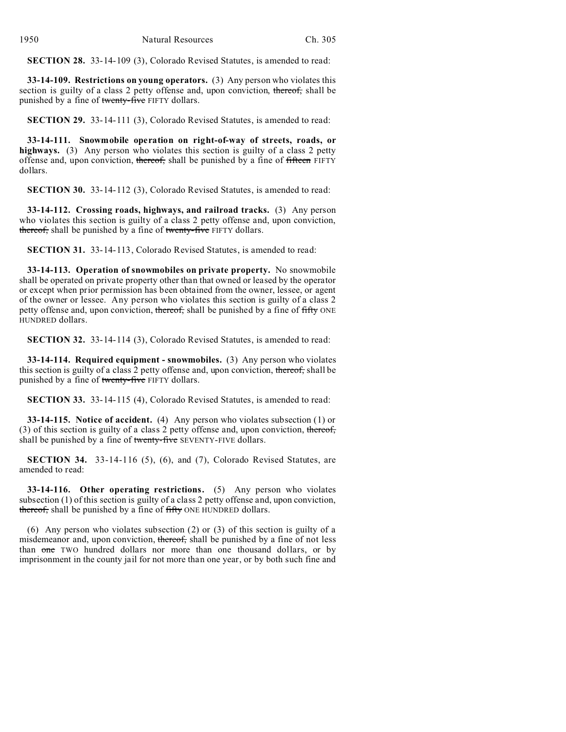**SECTION 28.** 33-14-109 (3), Colorado Revised Statutes, is amended to read:

**33-14-109. Restrictions on young operators.** (3) Any person who violates this section is guilty of a class 2 petty offense and, upon conviction, thereof, shall be punished by a fine of twenty-five FIFTY dollars.

**SECTION 29.** 33-14-111 (3), Colorado Revised Statutes, is amended to read:

**33-14-111. Snowmobile operation on right-of-way of streets, roads, or highways.** (3) Any person who violates this section is guilty of a class 2 petty offense and, upon conviction, thereof, shall be punished by a fine of fifteen FIFTY dollars.

**SECTION 30.** 33-14-112 (3), Colorado Revised Statutes, is amended to read:

**33-14-112. Crossing roads, highways, and railroad tracks.** (3) Any person who violates this section is guilty of a class 2 petty offense and, upon conviction, thereof, shall be punished by a fine of twenty-five FIFTY dollars.

**SECTION 31.** 33-14-113, Colorado Revised Statutes, is amended to read:

**33-14-113. Operation of snowmobiles on private property.** No snowmobile shall be operated on private property other than that owned or leased by the operator or except when prior permission has been obtained from the owner, lessee, or agent of the owner or lessee. Any person who violates this section is guilty of a class 2 petty offense and, upon conviction, thereof, shall be punished by a fine of fifty ONE HUNDRED dollars.

**SECTION 32.** 33-14-114 (3), Colorado Revised Statutes, is amended to read:

**33-14-114. Required equipment - snowmobiles.** (3) Any person who violates this section is guilty of a class 2 petty offense and, upon conviction, thereof, shall be punished by a fine of twenty-five FIFTY dollars.

**SECTION 33.** 33-14-115 (4), Colorado Revised Statutes, is amended to read:

**33-14-115. Notice of accident.** (4) Any person who violates subsection (1) or (3) of this section is guilty of a class 2 petty offense and, upon conviction, thereof, shall be punished by a fine of twenty-five SEVENTY-FIVE dollars.

**SECTION 34.** 33-14-116 (5), (6), and (7), Colorado Revised Statutes, are amended to read:

**33-14-116. Other operating restrictions.** (5) Any person who violates subsection (1) of this section is guilty of a class 2 petty offense and, upon conviction, thereof, shall be punished by a fine of fifty ONE HUNDRED dollars.

(6) Any person who violates subsection (2) or (3) of this section is guilty of a misdemeanor and, upon conviction, thereof, shall be punished by a fine of not less than one TWO hundred dollars nor more than one thousand dollars, or by imprisonment in the county jail for not more than one year, or by both such fine and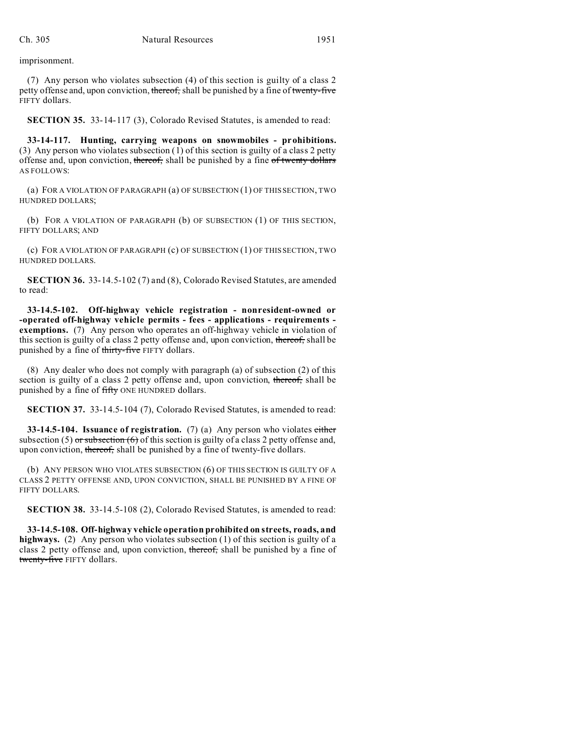imprisonment.

(7) Any person who violates subsection (4) of this section is guilty of a class 2 petty offense and, upon conviction, thereof, shall be punished by a fine of twenty-five FIFTY dollars.

**SECTION 35.** 33-14-117 (3), Colorado Revised Statutes, is amended to read:

**33-14-117. Hunting, carrying weapons on snowmobiles - prohibitions.** (3) Any person who violates subsection (1) of this section is guilty of a class 2 petty offense and, upon conviction, thereof, shall be punished by a fine of twenty dollars AS FOLLOWS:

(a) FOR A VIOLATION OF PARAGRAPH (a) OF SUBSECTION (1) OF THIS SECTION, TWO HUNDRED DOLLARS;

(b) FOR A VIOLATION OF PARAGRAPH (b) OF SUBSECTION (1) OF THIS SECTION, FIFTY DOLLARS; AND

(c) FOR A VIOLATION OF PARAGRAPH (c) OF SUBSECTION (1) OF THIS SECTION, TWO HUNDRED DOLLARS.

**SECTION 36.** 33-14.5-102 (7) and (8), Colorado Revised Statutes, are amended to read:

**33-14.5-102. Off-highway vehicle registration - nonresident-owned or -operated off-highway vehicle permits - fees - applications - requirements exemptions.** (7) Any person who operates an off-highway vehicle in violation of this section is guilty of a class 2 petty offense and, upon conviction, thereof, shall be punished by a fine of thirty-five FIFTY dollars.

(8) Any dealer who does not comply with paragraph (a) of subsection (2) of this section is guilty of a class 2 petty offense and, upon conviction, thereof, shall be punished by a fine of fifty ONE HUNDRED dollars.

**SECTION 37.** 33-14.5-104 (7), Colorado Revised Statutes, is amended to read:

**33-14.5-104. Issuance of registration.** (7) (a) Any person who violates either subsection (5) or subsection (6) of this section is guilty of a class 2 petty offense and, upon conviction, thereof, shall be punished by a fine of twenty-five dollars.

(b) ANY PERSON WHO VIOLATES SUBSECTION (6) OF THIS SECTION IS GUILTY OF A CLASS 2 PETTY OFFENSE AND, UPON CONVICTION, SHALL BE PUNISHED BY A FINE OF FIFTY DOLLARS.

**SECTION 38.** 33-14.5-108 (2), Colorado Revised Statutes, is amended to read:

**33-14.5-108. Off-highway vehicle operation prohibited on streets, roads, and highways.** (2) Any person who violates subsection (1) of this section is guilty of a class 2 petty offense and, upon conviction, thereof, shall be punished by a fine of twenty-five FIFTY dollars.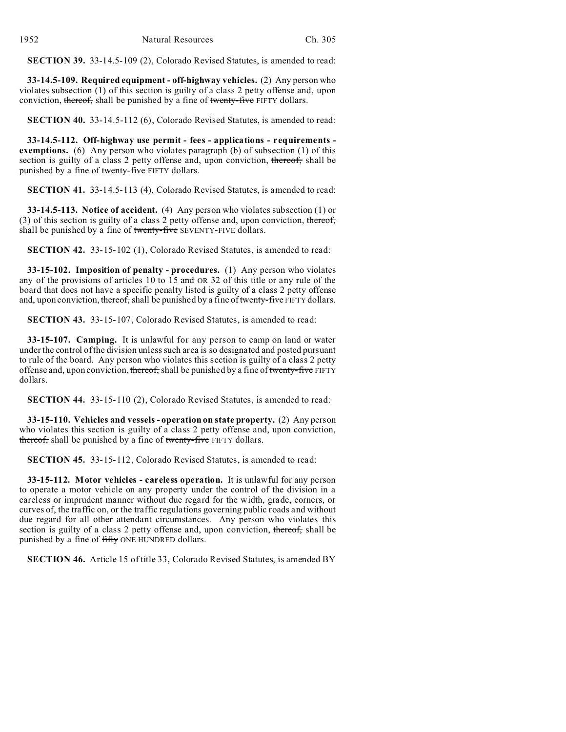**SECTION 39.** 33-14.5-109 (2), Colorado Revised Statutes, is amended to read:

**33-14.5-109. Required equipment - off-highway vehicles.** (2) Any person who violates subsection  $(1)$  of this section is guilty of a class 2 petty offense and, upon conviction, thereof, shall be punished by a fine of twenty-five FIFTY dollars.

**SECTION 40.** 33-14.5-112 (6), Colorado Revised Statutes, is amended to read:

**33-14.5-112. Off-highway use permit - fees - applications - requirements exemptions.** (6) Any person who violates paragraph (b) of subsection (1) of this section is guilty of a class 2 petty offense and, upon conviction, thereof, shall be punished by a fine of twenty-five FIFTY dollars.

**SECTION 41.** 33-14.5-113 (4), Colorado Revised Statutes, is amended to read:

**33-14.5-113. Notice of accident.** (4) Any person who violates subsection (1) or (3) of this section is guilty of a class 2 petty offense and, upon conviction, thereof, shall be punished by a fine of twenty-five SEVENTY-FIVE dollars.

**SECTION 42.** 33-15-102 (1), Colorado Revised Statutes, is amended to read:

**33-15-102. Imposition of penalty - procedures.** (1) Any person who violates any of the provisions of articles 10 to 15 and OR 32 of this title or any rule of the board that does not have a specific penalty listed is guilty of a class 2 petty offense and, upon conviction, thereof, shall be punished by a fine of twenty-five FIFTY dollars.

**SECTION 43.** 33-15-107, Colorado Revised Statutes, is amended to read:

**33-15-107. Camping.** It is unlawful for any person to camp on land or water under the control of the division unless such area is so designated and posted pursuant to rule of the board. Any person who violates this section is guilty of a class 2 petty offense and, upon conviction, thereof, shall be punished by a fine of twenty-five FIFTY dollars.

**SECTION 44.** 33-15-110 (2), Colorado Revised Statutes, is amended to read:

**33-15-110. Vehicles and vessels - operation on state property.** (2) Any person who violates this section is guilty of a class 2 petty offense and, upon conviction, thereof, shall be punished by a fine of twenty-five FIFTY dollars.

**SECTION 45.** 33-15-112, Colorado Revised Statutes, is amended to read:

**33-15-112. Motor vehicles - careless operation.** It is unlawful for any person to operate a motor vehicle on any property under the control of the division in a careless or imprudent manner without due regard for the width, grade, corners, or curves of, the traffic on, or the traffic regulations governing public roads and without due regard for all other attendant circumstances. Any person who violates this section is guilty of a class 2 petty offense and, upon conviction, thereof, shall be punished by a fine of fifty ONE HUNDRED dollars.

**SECTION 46.** Article 15 of title 33, Colorado Revised Statutes, is amended BY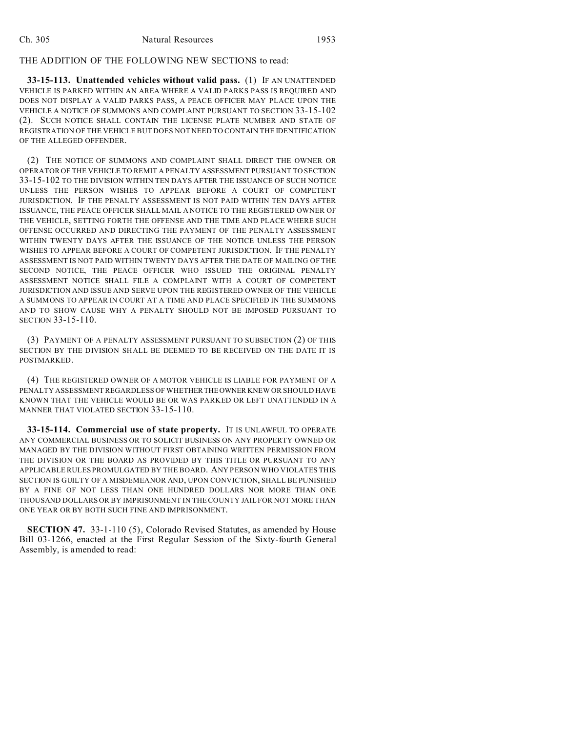## THE ADDITION OF THE FOLLOWING NEW SECTIONS to read:

**33-15-113. Unattended vehicles without valid pass.** (1) IF AN UNATTENDED VEHICLE IS PARKED WITHIN AN AREA WHERE A VALID PARKS PASS IS REQUIRED AND DOES NOT DISPLAY A VALID PARKS PASS, A PEACE OFFICER MAY PLACE UPON THE VEHICLE A NOTICE OF SUMMONS AND COMPLAINT PURSUANT TO SECTION 33-15-102 (2). SUCH NOTICE SHALL CONTAIN THE LICENSE PLATE NUMBER AND STATE OF REGISTRATION OF THE VEHICLE BUT DOES NOT NEED TO CONTAIN THE IDENTIFICATION OF THE ALLEGED OFFENDER.

(2) THE NOTICE OF SUMMONS AND COMPLAINT SHALL DIRECT THE OWNER OR OPERATOR OF THE VEHICLE TO REMIT A PENALTY ASSESSMENT PURSUANT TO SECTION 33-15-102 TO THE DIVISION WITHIN TEN DAYS AFTER THE ISSUANCE OF SUCH NOTICE UNLESS THE PERSON WISHES TO APPEAR BEFORE A COURT OF COMPETENT JURISDICTION. IF THE PENALTY ASSESSMENT IS NOT PAID WITHIN TEN DAYS AFTER ISSUANCE, THE PEACE OFFICER SHALL MAIL A NOTICE TO THE REGISTERED OWNER OF THE VEHICLE, SETTING FORTH THE OFFENSE AND THE TIME AND PLACE WHERE SUCH OFFENSE OCCURRED AND DIRECTING THE PAYMENT OF THE PENALTY ASSESSMENT WITHIN TWENTY DAYS AFTER THE ISSUANCE OF THE NOTICE UNLESS THE PERSON WISHES TO APPEAR BEFORE A COURT OF COMPETENT JURISDICTION. IF THE PENALTY ASSESSMENT IS NOT PAID WITHIN TWENTY DAYS AFTER THE DATE OF MAILING OF THE SECOND NOTICE, THE PEACE OFFICER WHO ISSUED THE ORIGINAL PENALTY ASSESSMENT NOTICE SHALL FILE A COMPLAINT WITH A COURT OF COMPETENT JURISDICTION AND ISSUE AND SERVE UPON THE REGISTERED OWNER OF THE VEHICLE A SUMMONS TO APPEAR IN COURT AT A TIME AND PLACE SPECIFIED IN THE SUMMONS AND TO SHOW CAUSE WHY A PENALTY SHOULD NOT BE IMPOSED PURSUANT TO SECTION 33-15-110.

(3) PAYMENT OF A PENALTY ASSESSMENT PURSUANT TO SUBSECTION (2) OF THIS SECTION BY THE DIVISION SHALL BE DEEMED TO BE RECEIVED ON THE DATE IT IS POSTMARKED.

(4) THE REGISTERED OWNER OF A MOTOR VEHICLE IS LIABLE FOR PAYMENT OF A PENALTY ASSESSMENT REGARDLESS OF WHETHERTHEOWNER KNEW OR SHOULD HAVE KNOWN THAT THE VEHICLE WOULD BE OR WAS PARKED OR LEFT UNATTENDED IN A MANNER THAT VIOLATED SECTION 33-15-110.

**33-15-114. Commercial use of state property.** IT IS UNLAWFUL TO OPERATE ANY COMMERCIAL BUSINESS OR TO SOLICIT BUSINESS ON ANY PROPERTY OWNED OR MANAGED BY THE DIVISION WITHOUT FIRST OBTAINING WRITTEN PERMISSION FROM THE DIVISION OR THE BOARD AS PROVIDED BY THIS TITLE OR PURSUANT TO ANY APPLICABLE RULES PROMULGATED BY THE BOARD. ANY PERSON WHO VIOLATES THIS SECTION IS GUILTY OF A MISDEMEANOR AND, UPON CONVICTION, SHALL BE PUNISHED BY A FINE OF NOT LESS THAN ONE HUNDRED DOLLARS NOR MORE THAN ONE THOUSAND DOLLARS OR BY IMPRISONMENT IN THE COUNTY JAIL FOR NOT MORE THAN ONE YEAR OR BY BOTH SUCH FINE AND IMPRISONMENT.

**SECTION 47.** 33-1-110 (5), Colorado Revised Statutes, as amended by House Bill 03-1266, enacted at the First Regular Session of the Sixty-fourth General Assembly, is amended to read: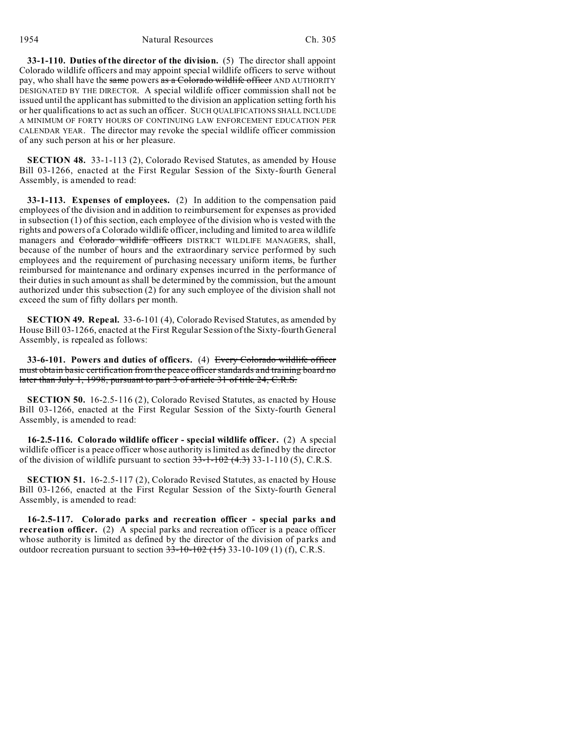1954 Natural Resources Ch. 305

**33-1-110. Duties of the director of the division.** (5) The director shall appoint Colorado wildlife officers and may appoint special wildlife officers to serve without pay, who shall have the same powers as a Colorado wildlife officer AND AUTHORITY DESIGNATED BY THE DIRECTOR. A special wildlife officer commission shall not be issued until the applicant has submitted to the division an application setting forth his or her qualifications to act as such an officer. SUCH QUALIFICATIONS SHALL INCLUDE A MINIMUM OF FORTY HOURS OF CONTINUING LAW ENFORCEMENT EDUCATION PER CALENDAR YEAR. The director may revoke the special wildlife officer commission of any such person at his or her pleasure.

**SECTION 48.** 33-1-113 (2), Colorado Revised Statutes, as amended by House Bill 03-1266, enacted at the First Regular Session of the Sixty-fourth General Assembly, is amended to read:

**33-1-113. Expenses of employees.** (2) In addition to the compensation paid employees of the division and in addition to reimbursement for expenses as provided in subsection (1) of this section, each employee of the division who is vested with the rights and powers of a Colorado wildlife officer, including and limited to area wildlife managers and Colorado wildlife officers DISTRICT WILDLIFE MANAGERS, shall, because of the number of hours and the extraordinary service performed by such employees and the requirement of purchasing necessary uniform items, be further reimbursed for maintenance and ordinary expenses incurred in the performance of their duties in such amount as shall be determined by the commission, but the amount authorized under this subsection (2) for any such employee of the division shall not exceed the sum of fifty dollars per month.

**SECTION 49. Repeal.** 33-6-101 (4), Colorado Revised Statutes, as amended by House Bill 03-1266, enacted at the First Regular Session of the Sixty-fourth General Assembly, is repealed as follows:

**33-6-101. Powers and duties of officers.** (4) Every Colorado wildlife officer must obtain basic certification from the peace officer standards and training board no later than July 1, 1998, pursuant to part 3 of article 31 of title 24, C.R.S.

**SECTION 50.** 16-2.5-116 (2), Colorado Revised Statutes, as enacted by House Bill 03-1266, enacted at the First Regular Session of the Sixty-fourth General Assembly, is amended to read:

**16-2.5-116. Colorado wildlife officer - special wildlife officer.** (2) A special wildlife officer is a peace officer whose authority is limited as defined by the director of the division of wildlife pursuant to section  $33-1-102$  (4.3) 33-1-110 (5), C.R.S.

**SECTION 51.** 16-2.5-117 (2), Colorado Revised Statutes, as enacted by House Bill 03-1266, enacted at the First Regular Session of the Sixty-fourth General Assembly, is amended to read:

**16-2.5-117. Colorado parks and recreation officer - special parks and recreation officer.** (2) A special parks and recreation officer is a peace officer whose authority is limited as defined by the director of the division of parks and outdoor recreation pursuant to section  $33-10-102$  (15) 33-10-109 (1) (f), C.R.S.